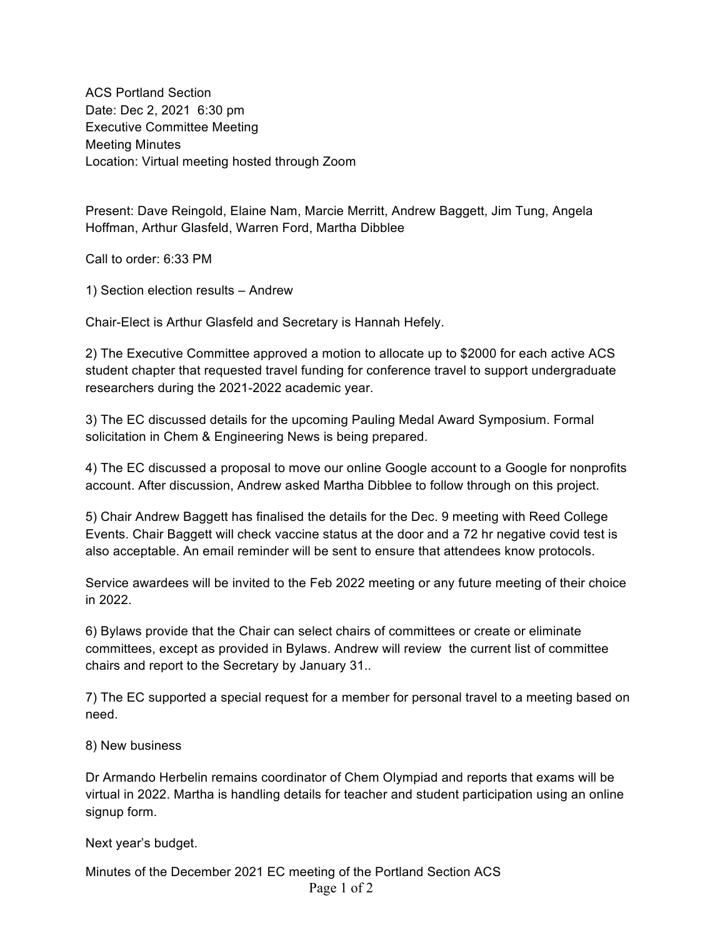ACS Portland Section Date: Dec 2, 2021 6:30 pm Executive Committee Meeting Meeting Minutes Location: Virtual meeting hosted through Zoom

Present: Dave Reingold, Elaine Nam, Marcie Merritt, Andrew Baggett, Jim Tung, Angela Hoffman, Arthur Glasfeld, Warren Ford, Martha Dibblee

Call to order: 6:33 PM

1) Section election results – Andrew

Chair-Elect is Arthur Glasfeld and Secretary is Hannah Hefely.

2) The Executive Committee approved a motion to allocate up to \$2000 for each active ACS student chapter that requested travel funding for conference travel to support undergraduate researchers during the 2021-2022 academic year.

3) The EC discussed details for the upcoming Pauling Medal Award Symposium. Formal solicitation in Chem & Engineering News is being prepared.

4) The EC discussed a proposal to move our online Google account to a Google for nonprofits account. After discussion, Andrew asked Martha Dibblee to follow through on this project.

5) Chair Andrew Baggett has finalised the details for the Dec. 9 meeting with Reed College Events. Chair Baggett will check vaccine status at the door and a 72 hr negative covid test is also acceptable. An email reminder will be sent to ensure that attendees know protocols.

Service awardees will be invited to the Feb 2022 meeting or any future meeting of their choice in 2022.

6) Bylaws provide that the Chair can select chairs of committees or create or eliminate committees, except as provided in Bylaws. Andrew will review the current list of committee chairs and report to the Secretary by January 31..

7) The EC supported a special request for a member for personal travel to a meeting based on need.

8) New business

Dr Armando Herbelin remains coordinator of Chem Olympiad and reports that exams will be virtual in 2022. Martha is handling details for teacher and student participation using an online signup form.

Next year's budget.

Minutes of the December 2021 EC meeting of the Portland Section ACS Page 1 of 2